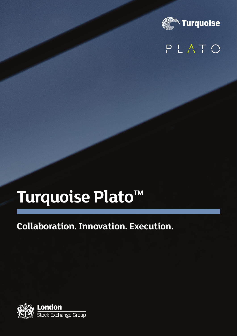

## PLATO

# **Turquoise Plato™**

## **Collaboration. Innovation. Execution.**

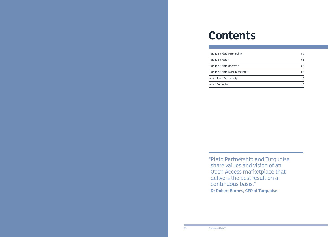

# **Contents**

| Turquoise Plato Partnership      |
|----------------------------------|
| Turquoise Plato™                 |
| Turquoise Plato Uncross™         |
| Turquoise Plato Block Discoveru™ |
| About Plato Partnership          |
| About Turguoise                  |

"Plato Partnership and Turquoise share values and vision of an Open Access marketplace that delivers the best result on a continuous basis." **Dr Robert Barnes, CEO of Turquoise**

| Turquoise Plato Partnership      | 04 |
|----------------------------------|----|
| Turquoise Plato <sup>™</sup>     | 05 |
| Turquoise Plato Uncross™         | 06 |
| Turquoise Plato Block Discovery™ | 08 |
| About Plato Partnership          | 10 |
| About Turquoise                  | 10 |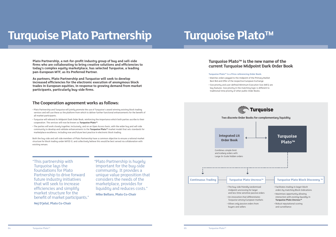- 
- 
- 
- 
- 
- 
- 
- 
- 

# **Turquoise Plato Partnership Turquoise Plato™**

#### **The Cooperation agreement works as follows:**

- Plato Partnership and Turquoise will jointly promote the use of Turquoise's award winning existing block trading services and will use these as the platform from which to deliver further functional enhancements for the benefit of all market participants.
- Turquoise will rebrand its Midpoint Dark Order Book, reinforcing the importance which both parties ascribe to their cooperation. The services will now be known as **Turquoise Plato™**.
- The parties will work closely together, inclusively, and on an Open Access basis, with the wider buy and sell-side community to develop and validate enhancements to the **Turquoise Plato™** market model that sets standards for marketplace excellence, including now and future best practice in electronic block trading.

Both the buy-side and sell-side members of Plato Partnership have a common objective to ensure a rational market structure for block trading under MiFID II, and collectively believe this would be best served via collaboration with existing venues.

**Turquoise Plato™ is a Price-referencing Order Book:** 

• Matches orders pegged to the midpoint of the Primary Market Best Bid and Offer of the respective European Exchange

• Size priority and user-defined Minimum Execution Size (MES) are key features: Size priority in the matching logic is different to traditional time priority of other public Order Books.

**Plato Partnership, a not-for-profit industry group of buy and sell-side firms who are collaborating to bring creative solutions and efficiencies to today's complex equity marketplace, has selected Turquoise, a leading pan-European MTF, as its Preferred Partner.** 

**As partners, Plato Partnership and Turquoise will seek to develop increased efficiencies for the electronic execution of anonymous block trades in European equities, in response to growing demand from market participants, particularly buy-side firms.**

### **Turquoise Plato™ is the new name of the current Turquoise Midpoint Dark Order Book**



"This partnership with Turquoise laus the foundations for Plato Partnership to drive forward future industry initiatives that will seek to increase efficiencies and simplify market structure for the benefit of market participants."

**Nej D'jelal, Plato Co-Chair**

"Plato Partnership is hugely important for the buy-side community. It provides a unique value proposition that considers the needs of the marketplace, provides for liquidity and reduces costs."

**Mike Bellaro, Plato Co-Chair**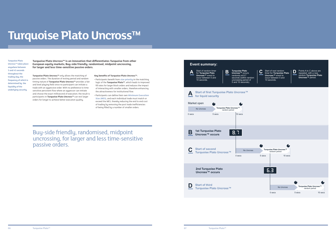

## **Turquoise Plato Uncross™**

**Turquoise Plato Uncross™** only allows the matching of passive orders. The duration of resting period and random timing nature of **Turquoise Plato Uncross™** provides a fair and level playing field since no participant can initiate a trade with an aggressive order. With no preference to time sensitive persistent flow where an aggressor can initiate and choose the exact millisecond of execution; the result is participants in **Turquoise Plato Uncross™** can rest larger orders for longer to achieve better execution quality.



**Key benefits of Turquoise Plato Uncross™:**

- Participants benefit from **size priority** in the matching logic of the **Turquoise Plato™**, which leads to improved fill rates for larger block orders and reduces the impact of interacting with smaller orders, therefore enhancing the attractiveness for institutional flow.
- Participants can define their own **Minimum Execution Size (MES)**, and each individual trade must match or exceed the MES, thereby reducing the end to end cost of trading by removing the post trade inefficiencies of being filled by a number of smaller orders.

**Turquoise Plato Uncross™ is an innovation that differentiates Turquoise from other European equity markets; Buy-side friendly, randomised, midpoint uncrossing, for larger and less time-sensitive passive orders.**

Buy-side friendly, randomised, midpoint uncrossing, for larger and less time-sensitive passive orders.

**Turquoise Plato Uncross™ takes place anywhere between 5 and 45 seconds throughout the trading day, the frequency of which is determined by the liquidity of the underlying security.**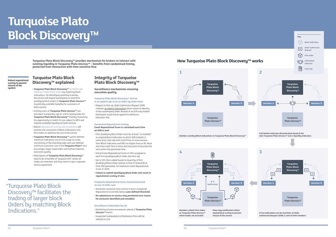# **Turquoise Plato Block Discovery™**

#### **Turquoise Plato Block Discovery™ explained**

- **Turquoise Plato Block Discovery™** facilitates the trading or larger block orders by matching block Indications. On identifuing potential matches, the service will require participants to send firm qualifying block orders to **Turquoise Plato Uncross™**, maximising available liquidity for customers of both services
- Existing users of **Turquoise Plato Uncross™** can also elect to explicitly 'opt-in' a firm resting order for **Turquoise Plato Block Discovery™** thereby increasing the opportunity to match in size subject to MES and improve available liquidity for both services
- Robust reputational scoring and surveillance will monitor the conversion of Block Indications into firm orders to optimise the use of the service
- **Turquoise Plato Block Discovery™** system defined minimum indication size of 25% Large-In-Scale, size priority in the matching logic and user defined minimum execution size in the **Turquoise Plato™** also encourages larger sized orders and further improves execution quality
- Participants of **Turquoise Plato Block Discovery™**  need to be a member of Turquoise MTF, where all trades are matched, and they need to sign a separate Service agreement.

**reputational scoring to prevent**  the service

**Turquoise Plato Block Discovery™ provides mechanism for brokers to interact with existing liquidity in Turquoise Plato Uncross™ – benefits from randomised timing, protected from interaction with time sensitive flow.**

**>797 Robust reputational scoring to prevent misuse of the system**

**Members sending Block Indications to Turquoise Plato Block Discovery™** 







| <b>Members submit firm orders</b> | Drop-copy   |
|-----------------------------------|-------------|
| to Turquoise Plato Uncross™       | reputation  |
| where trades are executed         | misuse of t |

#### **How Turquoise Plato Block Discovery™ works**

 "Turquoise Plato Block Discovery™ facilitates the trading of larger block Orders by matching Block Indications."

#### **Integrity of Turquoise Plato Block Discovery™**

#### **Surveillance mechanisms ensuring execution quality**

#### **Turquoise Plato Block Discovery™ Service is an explicit opt-in on an Order-by-Order basis**

• Request to firm up, Order Submission Request (OSR) contains no explicit information about nature or identity of the counterparty Order. Receipt of an OSR only implies Participant could match against its Minimum Execution Size.

#### **Automated Reputational Scoring**

#### **Event Reputational Score is calculated each time an OSR is sent**

- Firm Qualifying Block Order must be at least "as tradable" as original Block Indication to which OSR related i.e. same stock and side with Limit Price no more passive than Block Indication and MES no higher than on BI. Must also have valid Time in force and Execution Instruction be sent within the permitted time
- Initial Event Reputational Score of 50% assigned to each firm Oualifuing Block Order (the firm up)
- Up to 50% then added based on Quantity of firm Qualifying Block Order relative to that of related BI at time OSR generated, for maximum Event Reputational Score of 100%
- **Failure to submit Qualifying Block Order will result in reputational scoring of zero.**

#### **Composite Reputational Score maintained based on last 50 OSRs sent**

• Automatic exclusion from service if user's Composite Reputational Score falls below **a pre-defined threshold**

• **Re-admittance to service only permitted once reason for exclusion identified and remedied** 

#### **Surveillance undertaken by LSE**

- Monitoring of price movements ahead of **Turquoise Plato Uncross™** events
- Suspected manipulation of Reference Price will be referred to FCA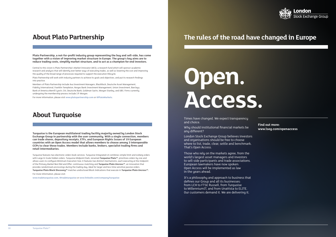



## **About Plato Partnership**

## **About Turquoise**

**Plato Partnership, a not-for-profit industry group representing the buy and sell-side, has come together with a vision of improving market structure in Europe. The group's key aims are to reduce trading costs, simplify market structure, and to act as a champion for end investors.**

Central to this vision is Plato Partnership's Market Innovator (MI3); a research fund which will sponsor academic research and analysis that will identify ever better ways of executing trades, as well as lowering the cost and improving the quality of the broad range of processes required to support the execution lifecycle.

Plato Partnership will work with industry partners to achieve its goals and objectives, and put its research findings into practice.

Members of Plato Partnership include Axa Investment Managers, BlackRock, Deutsche Asset Management, Fidelity International, Franklin Templeton, Norges Bank Investment Management, Union Investment, Barclays, Bank of America Merrill Lynch, Citi, Deutsche Bank, Goldman Sachs, Morgan Stanley, and UBS. Firms currently undergoing the membership process include J.P. Morgan.

For more information, please visit **www.platopartnership.com** or **@PlatoMarkets**.

**Turquoise is the European multilateral trading facility majority owned by London Stock Exchange Group in partnership with the user community. With a single connection, members can trade shares, depository receipts, ETFs, and European Rights Issues of 19 European countries with an Open Access model that allows members to choose among 3 interoperable CCPs to clear these trades. Members include banks, brokers, specialist trading firms and retail intermediaries.**

> It's a philosophy and approach to business that defines our Group and all its businesses: from LCH to FTSE Russell, from Turquoise to MillenniumIT, and from UnaVista to ELITE. Our customers demand it. We are delivering it.

Turquoise features two electronic orders book services. Turquoise Integrated Lit combines simple limit and iceberg orders with Large In Scale hidden orders. Turquoise Midpoint Dark, renamed **Turquoise Plato™**, prioritizes orders by size and allows users to configure Minimum Execution Size; it features two distinct mechanisms, each executing at the midpoint of the Primary Market Best Bid and Offer: continuous matching and **Turquoise Plato Uncross™**, an innovation that provides randomised uncrossings during the trading day, ideal for larger and less time sensitive passive orders. **Turquoise Plato Block Discovery™** matches undisclosed Block Indications that execute in **Turquoise Plato Uncross™.**

For more information, please visit:

**www.tradeturquoise.com, @tradeturquoise** or **www.linkedin.com/company/turquoise**

Times have changed. We expect transparency and choice.

Why should institutional financial markets be any different?

London Stock Exchange Group believes investors and organisations should be free to choose where to list, trade, clear, settle and benchmark. That's Open Access.

Those who rely on the markets agree, from the world's largest asset managers and investors to sell-side participants and trade associations. European lawmakers have now spoken: Open Access will be implemented as law in the years ahead.

**Find out more: www.lseg.com/openaccess**

## **The rules of the road have changed in Europe**

# **Open. Access.**